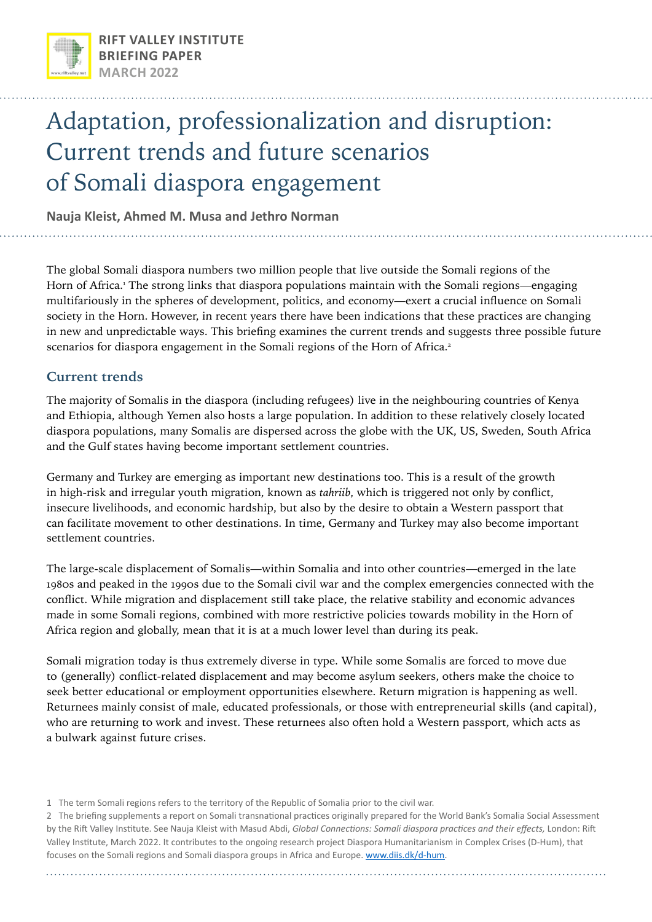

# Adaptation, professionalization and disruption: Current trends and future scenarios of Somali diaspora engagement

**Nauja Kleist, Ahmed M. Musa and Jethro Norman**

The global Somali diaspora numbers two million people that live outside the Somali regions of the Horn of Africa.<sup>1</sup> The strong links that diaspora populations maintain with the Somali regions—engaging multifariously in the spheres of development, politics, and economy—exert a crucial influence on Somali society in the Horn. However, in recent years there have been indications that these practices are changing in new and unpredictable ways. This briefing examines the current trends and suggests three possible future scenarios for diaspora engagement in the Somali regions of the Horn of Africa. $^2$ 

### **Current trends**

The majority of Somalis in the diaspora (including refugees) live in the neighbouring countries of Kenya and Ethiopia, although Yemen also hosts a large population. In addition to these relatively closely located diaspora populations, many Somalis are dispersed across the globe with the UK, US, Sweden, South Africa and the Gulf states having become important settlement countries.

Germany and Turkey are emerging as important new destinations too. This is a result of the growth in high-risk and irregular youth migration, known as *tahriib*, which is triggered not only by conflict, insecure livelihoods, and economic hardship, but also by the desire to obtain a Western passport that can facilitate movement to other destinations. In time, Germany and Turkey may also become important settlement countries.

The large-scale displacement of Somalis—within Somalia and into other countries—emerged in the late 1980s and peaked in the 1990s due to the Somali civil war and the complex emergencies connected with the conflict. While migration and displacement still take place, the relative stability and economic advances made in some Somali regions, combined with more restrictive policies towards mobility in the Horn of Africa region and globally, mean that it is at a much lower level than during its peak.

Somali migration today is thus extremely diverse in type. While some Somalis are forced to move due to (generally) conflict-related displacement and may become asylum seekers, others make the choice to seek better educational or employment opportunities elsewhere. Return migration is happening as well. Returnees mainly consist of male, educated professionals, or those with entrepreneurial skills (and capital), who are returning to work and invest. These returnees also often hold a Western passport, which acts as a bulwark against future crises.

<sup>1</sup> The term Somali regions refers to the territory of the Republic of Somalia prior to the civil war.

<sup>2</sup> The briefing supplements a report on Somali transnational practices originally prepared for the World Bank's Somalia Social Assessment by the Rift Valley Institute. See Nauja Kleist with Masud Abdi, *Global Connections: Somali diaspora practices and their effects,* London: Rift Valley Institute, March 2022. It contributes to the ongoing research project Diaspora Humanitarianism in Complex Crises (D-Hum), that focuses on the Somali regions and Somali diaspora groups in Africa and Europe. [www.diis.dk/d-hum](http://www.diis.dk/d-hum).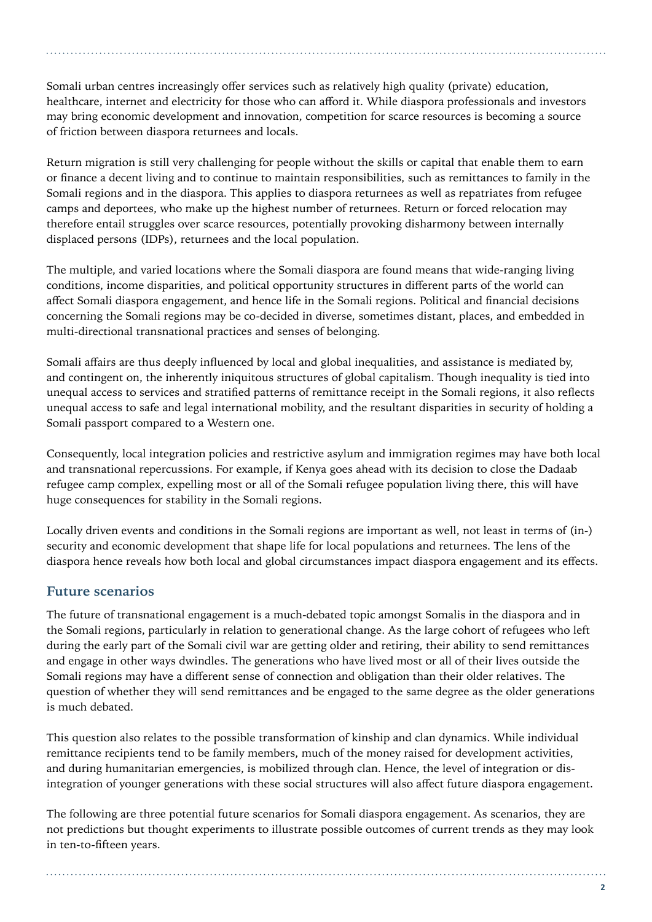Somali urban centres increasingly offer services such as relatively high quality (private) education, healthcare, internet and electricity for those who can afford it. While diaspora professionals and investors may bring economic development and innovation, competition for scarce resources is becoming a source of friction between diaspora returnees and locals.

Return migration is still very challenging for people without the skills or capital that enable them to earn or finance a decent living and to continue to maintain responsibilities, such as remittances to family in the Somali regions and in the diaspora. This applies to diaspora returnees as well as repatriates from refugee camps and deportees, who make up the highest number of returnees. Return or forced relocation may therefore entail struggles over scarce resources, potentially provoking disharmony between internally displaced persons (IDPs), returnees and the local population.

The multiple, and varied locations where the Somali diaspora are found means that wide-ranging living conditions, income disparities, and political opportunity structures in different parts of the world can affect Somali diaspora engagement, and hence life in the Somali regions. Political and financial decisions concerning the Somali regions may be co-decided in diverse, sometimes distant, places, and embedded in multi-directional transnational practices and senses of belonging.

Somali affairs are thus deeply influenced by local and global inequalities, and assistance is mediated by, and contingent on, the inherently iniquitous structures of global capitalism. Though inequality is tied into unequal access to services and stratified patterns of remittance receipt in the Somali regions, it also reflects unequal access to safe and legal international mobility, and the resultant disparities in security of holding a Somali passport compared to a Western one.

Consequently, local integration policies and restrictive asylum and immigration regimes may have both local and transnational repercussions. For example, if Kenya goes ahead with its decision to close the Dadaab refugee camp complex, expelling most or all of the Somali refugee population living there, this will have huge consequences for stability in the Somali regions.

Locally driven events and conditions in the Somali regions are important as well, not least in terms of (in-) security and economic development that shape life for local populations and returnees. The lens of the diaspora hence reveals how both local and global circumstances impact diaspora engagement and its effects.

### **Future scenarios**

The future of transnational engagement is a much-debated topic amongst Somalis in the diaspora and in the Somali regions, particularly in relation to generational change. As the large cohort of refugees who left during the early part of the Somali civil war are getting older and retiring, their ability to send remittances and engage in other ways dwindles. The generations who have lived most or all of their lives outside the Somali regions may have a different sense of connection and obligation than their older relatives. The question of whether they will send remittances and be engaged to the same degree as the older generations is much debated.

This question also relates to the possible transformation of kinship and clan dynamics. While individual remittance recipients tend to be family members, much of the money raised for development activities, and during humanitarian emergencies, is mobilized through clan. Hence, the level of integration or disintegration of younger generations with these social structures will also affect future diaspora engagement.

The following are three potential future scenarios for Somali diaspora engagement. As scenarios, they are not predictions but thought experiments to illustrate possible outcomes of current trends as they may look in ten-to-fifteen years.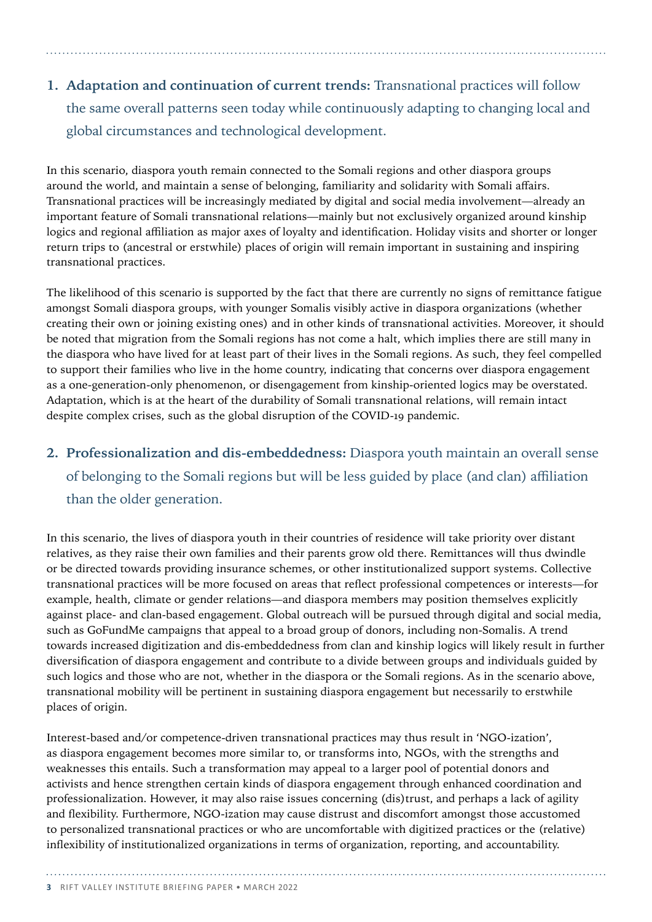## **1. Adaptation and continuation of current trends:** Transnational practices will follow the same overall patterns seen today while continuously adapting to changing local and global circumstances and technological development.

In this scenario, diaspora youth remain connected to the Somali regions and other diaspora groups around the world, and maintain a sense of belonging, familiarity and solidarity with Somali affairs. Transnational practices will be increasingly mediated by digital and social media involvement—already an important feature of Somali transnational relations—mainly but not exclusively organized around kinship logics and regional affiliation as major axes of loyalty and identification. Holiday visits and shorter or longer return trips to (ancestral or erstwhile) places of origin will remain important in sustaining and inspiring transnational practices.

The likelihood of this scenario is supported by the fact that there are currently no signs of remittance fatigue amongst Somali diaspora groups, with younger Somalis visibly active in diaspora organizations (whether creating their own or joining existing ones) and in other kinds of transnational activities. Moreover, it should be noted that migration from the Somali regions has not come a halt, which implies there are still many in the diaspora who have lived for at least part of their lives in the Somali regions. As such, they feel compelled to support their families who live in the home country, indicating that concerns over diaspora engagement as a one-generation-only phenomenon, or disengagement from kinship-oriented logics may be overstated. Adaptation, which is at the heart of the durability of Somali transnational relations, will remain intact despite complex crises, such as the global disruption of the COVID-19 pandemic.

### **2. Professionalization and dis-embeddedness:** Diaspora youth maintain an overall sense of belonging to the Somali regions but will be less guided by place (and clan) affiliation than the older generation.

In this scenario, the lives of diaspora youth in their countries of residence will take priority over distant relatives, as they raise their own families and their parents grow old there. Remittances will thus dwindle or be directed towards providing insurance schemes, or other institutionalized support systems. Collective transnational practices will be more focused on areas that reflect professional competences or interests—for example, health, climate or gender relations—and diaspora members may position themselves explicitly against place- and clan-based engagement. Global outreach will be pursued through digital and social media, such as GoFundMe campaigns that appeal to a broad group of donors, including non-Somalis. A trend towards increased digitization and dis-embeddedness from clan and kinship logics will likely result in further diversification of diaspora engagement and contribute to a divide between groups and individuals guided by such logics and those who are not, whether in the diaspora or the Somali regions. As in the scenario above, transnational mobility will be pertinent in sustaining diaspora engagement but necessarily to erstwhile places of origin.

Interest-based and/or competence-driven transnational practices may thus result in 'NGO-ization', as diaspora engagement becomes more similar to, or transforms into, NGOs, with the strengths and weaknesses this entails. Such a transformation may appeal to a larger pool of potential donors and activists and hence strengthen certain kinds of diaspora engagement through enhanced coordination and professionalization. However, it may also raise issues concerning (dis)trust, and perhaps a lack of agility and flexibility. Furthermore, NGO-ization may cause distrust and discomfort amongst those accustomed to personalized transnational practices or who are uncomfortable with digitized practices or the (relative) inflexibility of institutionalized organizations in terms of organization, reporting, and accountability.